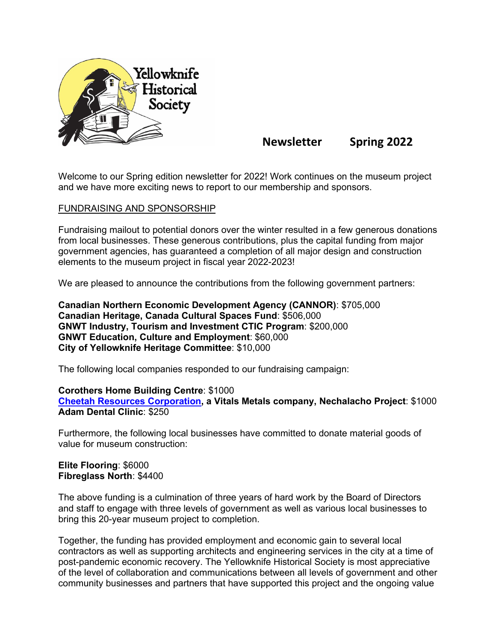

**Newsletter Spring 2022**

Welcome to our Spring edition newsletter for 2022! Work continues on the museum project and we have more exciting news to report to our membership and sponsors.

#### FUNDRAISING AND SPONSORSHIP

Fundraising mailout to potential donors over the winter resulted in a few generous donations from local businesses. These generous contributions, plus the capital funding from major government agencies, has guaranteed a completion of all major design and construction elements to the museum project in fiscal year 2022-2023!

We are pleased to announce the contributions from the following government partners:

**Canadian Northern Economic Development Agency (CANNOR)**: \$705,000 **Canadian Heritage, Canada Cultural Spaces Fund**: \$506,000 **GNWT Industry, Tourism and Investment CTIC Program**: \$200,000 **GNWT Education, Culture and Employment**: \$60,000 **City of Yellowknife Heritage Committee**: \$10,000

The following local companies responded to our fundraising campaign:

**Corothers Home Building Centre**: \$1000 **[Cheetah Resources Corporation,](https://cheetahresources.com/) a Vitals Metals company, Nechalacho Project**: \$1000 **Adam Dental Clinic**: \$250

Furthermore, the following local businesses have committed to donate material goods of value for museum construction:

**Elite Flooring**: \$6000 **Fibreglass North**: \$4400

The above funding is a culmination of three years of hard work by the Board of Directors and staff to engage with three levels of government as well as various local businesses to bring this 20-year museum project to completion.

Together, the funding has provided employment and economic gain to several local contractors as well as supporting architects and engineering services in the city at a time of post-pandemic economic recovery. The Yellowknife Historical Society is most appreciative of the level of collaboration and communications between all levels of government and other community businesses and partners that have supported this project and the ongoing value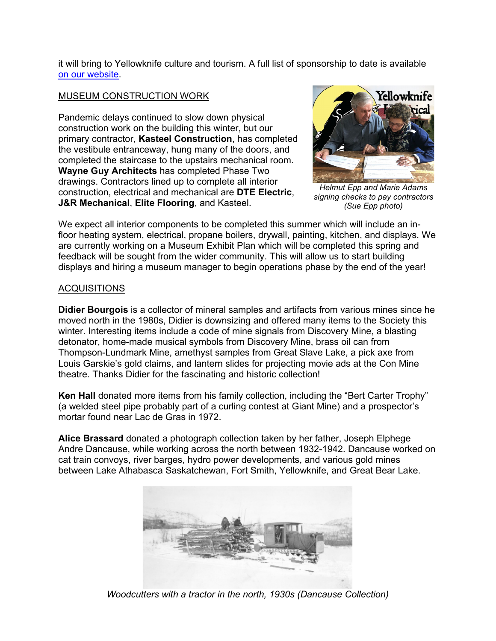it will bring to Yellowknife culture and tourism. A full list of sponsorship to date is available [on our website.](https://www.yellowknifehistory.com/sponsors)

# MUSEUM CONSTRUCTION WORK

Pandemic delays continued to slow down physical construction work on the building this winter, but our primary contractor, **Kasteel Construction**, has completed the vestibule entranceway, hung many of the doors, and completed the staircase to the upstairs mechanical room. **Wayne Guy Architects** has completed Phase Two drawings. Contractors lined up to complete all interior construction, electrical and mechanical are **DTE Electric**, **J&R Mechanical**, **Elite Flooring**, and Kasteel.



*Helmut Epp and Marie Adams signing checks to pay contractors (Sue Epp photo)*

We expect all interior components to be completed this summer which will include an infloor heating system, electrical, propane boilers, drywall, painting, kitchen, and displays. We are currently working on a Museum Exhibit Plan which will be completed this spring and feedback will be sought from the wider community. This will allow us to start building displays and hiring a museum manager to begin operations phase by the end of the year!

## ACQUISITIONS

**Didier Bourgois** is a collector of mineral samples and artifacts from various mines since he moved north in the 1980s, Didier is downsizing and offered many items to the Society this winter. Interesting items include a code of mine signals from Discovery Mine, a blasting detonator, home-made musical symbols from Discovery Mine, brass oil can from Thompson-Lundmark Mine, amethyst samples from Great Slave Lake, a pick axe from Louis Garskie's gold claims, and lantern slides for projecting movie ads at the Con Mine theatre. Thanks Didier for the fascinating and historic collection!

**Ken Hall** donated more items from his family collection, including the "Bert Carter Trophy" (a welded steel pipe probably part of a curling contest at Giant Mine) and a prospector's mortar found near Lac de Gras in 1972.

**Alice Brassard** donated a photograph collection taken by her father, Joseph Elphege Andre Dancause, while working across the north between 1932-1942. Dancause worked on cat train convoys, river barges, hydro power developments, and various gold mines between Lake Athabasca Saskatchewan, Fort Smith, Yellowknife, and Great Bear Lake.



*Woodcutters with a tractor in the north, 1930s (Dancause Collection)*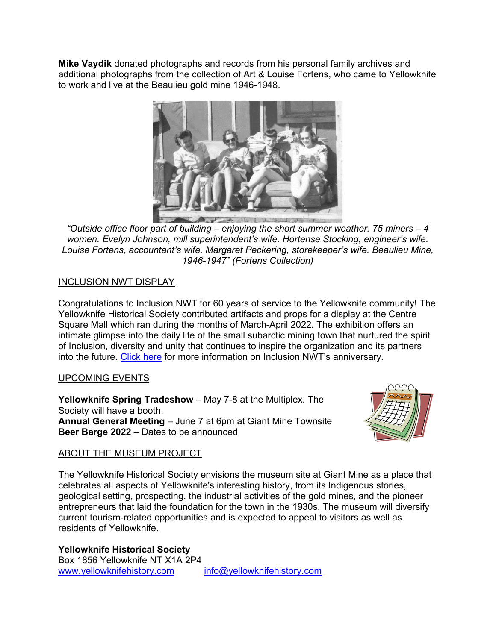**Mike Vaydik** donated photographs and records from his personal family archives and additional photographs from the collection of Art & Louise Fortens, who came to Yellowknife to work and live at the Beaulieu gold mine 1946-1948.



*"Outside office floor part of building – enjoying the short summer weather. 75 miners – 4 women. Evelyn Johnson, mill superintendent's wife. Hortense Stocking, engineer's wife. Louise Fortens, accountant's wife. Margaret Peckering, storekeeper's wife. Beaulieu Mine, 1946-1947" (Fortens Collection)*

# INCLUSION NWT DISPLAY

Congratulations to Inclusion NWT for 60 years of service to the Yellowknife community! The Yellowknife Historical Society contributed artifacts and props for a display at the Centre Square Mall which ran during the months of March-April 2022. The exhibition offers an intimate glimpse into the daily life of the small subarctic mining town that nurtured the spirit of Inclusion, diversity and unity that continues to inspire the organization and its partners into the future. [Click here](https://inclusionnwt.ca/60-years-of-inclusion-1962-2022-historical-exhibition-at-centre-square-mall-lower-level/) for more information on Inclusion NWT's anniversary.

## UPCOMING EVENTS

**Yellowknife Spring Tradeshow** – May 7-8 at the Multiplex. The Society will have a booth. **Annual General Meeting** – June 7 at 6pm at Giant Mine Townsite **Beer Barge 2022** – Dates to be announced



## ABOUT THE MUSEUM PROJECT

The Yellowknife Historical Society envisions the museum site at Giant Mine as a place that celebrates all aspects of Yellowknife's interesting history, from its Indigenous stories, geological setting, prospecting, the industrial activities of the gold mines, and the pioneer entrepreneurs that laid the foundation for the town in the 1930s. The museum will diversify current tourism-related opportunities and is expected to appeal to visitors as well as residents of Yellowknife.

**Yellowknife Historical Society** Box 1856 Yellowknife NT X1A 2P4 [www.yellowknifehistory.com](http://www.yellowknifehistory.com/) [info@yellowknifehistory.com](mailto:info@yellowknifehistory.com)